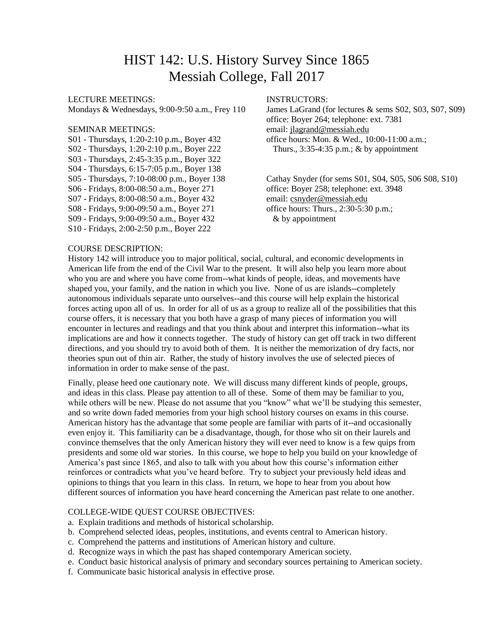# HIST 142: U.S. History Survey Since 1865 Messiah College, Fall 2017

#### LECTURE MEETINGS: INSTRUCTORS:

S02 - Thursdays, 1:20-2:10 p.m., Boyer 222 Thurs., 3:35-4:35 p.m.; & by appointment S03 - Thursdays, 2:45-3:35 p.m., Boyer 322 S04 - Thursdays, 6:15-7:05 p.m., Boyer 138 S06 - Fridays, 8:00-08:50 a.m., Boyer 271 office: Boyer 258; telephone: ext. 3948 S07 - Fridays, 8:00-08:50 a.m., Boyer 432 email[: csnyder@messiah.edu](mailto:csnyder@messiah.edu) S08 - Fridays, 9:00-09:50 a.m., Boyer 271 office hours: Thurs., 2:30-5:30 p.m.; S09 - Fridays, 9:00-09:50 a.m., Boyer 432 & by appointment S10 - Fridays, 2:00-2:50 p.m., Boyer 222

Mondays & Wednesdays, 9:00-9:50 a.m., Frey 110 James LaGrand (for lectures & sems S02, S03, S07, S09) office: Boyer 264; telephone: ext. 7381 SEMINAR MEETINGS: email[: jlagrand@messiah.edu](mailto:jlagrand@messiah.edu) S01 - Thursdays, 1:20-2:10 p.m., Boyer 432 office hours: Mon. & Wed., 10:00-11:00 a.m.;

Cathay Snyder (for sems S01, S04, S05, S06 S08, S10)

#### COURSE DESCRIPTION:

History 142 will introduce you to major political, social, cultural, and economic developments in American life from the end of the Civil War to the present. It will also help you learn more about who you are and where you have come from--what kinds of people, ideas, and movements have shaped you, your family, and the nation in which you live. None of us are islands--completely autonomous individuals separate unto ourselves--and this course will help explain the historical forces acting upon all of us. In order for all of us as a group to realize all of the possibilities that this course offers, it is necessary that you both have a grasp of many pieces of information you will encounter in lectures and readings and that you think about and interpret this information--what its implications are and how it connects together. The study of history can get off track in two different directions, and you should try to avoid both of them. It is neither the memorization of dry facts, nor theories spun out of thin air. Rather, the study of history involves the use of selected pieces of information in order to make sense of the past.

Finally, please heed one cautionary note. We will discuss many different kinds of people, groups, and ideas in this class. Please pay attention to all of these. Some of them may be familiar to you, while others will be new. Please do not assume that you "know" what we'll be studying this semester, and so write down faded memories from your high school history courses on exams in this course. American history has the advantage that some people are familiar with parts of it--and occasionally even enjoy it. This familiarity can be a disadvantage, though, for those who sit on their laurels and convince themselves that the only American history they will ever need to know is a few quips from presidents and some old war stories. In this course, we hope to help you build on your knowledge of America's past since 1865, and also to talk with you about how this course's information either reinforces or contradicts what you've heard before. Try to subject your previously held ideas and opinions to things that you learn in this class. In return, we hope to hear from you about how different sources of information you have heard concerning the American past relate to one another.

#### COLLEGE-WIDE QUEST COURSE OBJECTIVES:

- a. Explain traditions and methods of historical scholarship.
- b. Comprehend selected ideas, peoples, institutions, and events central to American history.
- c. Comprehend the patterns and institutions of American history and culture.
- d. Recognize ways in which the past has shaped contemporary American society.
- e. Conduct basic historical analysis of primary and secondary sources pertaining to American society.
- f. Communicate basic historical analysis in effective prose.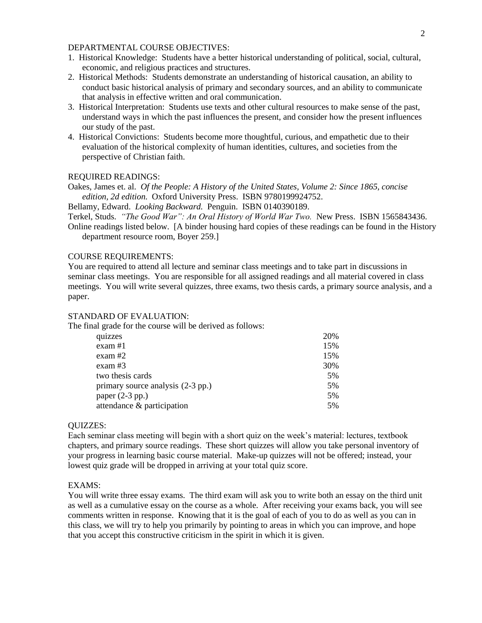#### DEPARTMENTAL COURSE OBJECTIVES:

- 1. Historical Knowledge: Students have a better historical understanding of political, social, cultural, economic, and religious practices and structures.
- 2. Historical Methods: Students demonstrate an understanding of historical causation, an ability to conduct basic historical analysis of primary and secondary sources, and an ability to communicate that analysis in effective written and oral communication.
- 3. Historical Interpretation: Students use texts and other cultural resources to make sense of the past, understand ways in which the past influences the present, and consider how the present influences our study of the past.
- 4. Historical Convictions: Students become more thoughtful, curious, and empathetic due to their evaluation of the historical complexity of human identities, cultures, and societies from the perspective of Christian faith.

#### REQUIRED READINGS:

Oakes, James et. al. *Of the People: A History of the United States, Volume 2: Since 1865, concise edition, 2d edition.* Oxford University Press. ISBN 9780199924752.

Bellamy, Edward. *Looking Backward.* Penguin. ISBN 0140390189.

Terkel, Studs. *"The Good War": An Oral History of World War Two.* New Press. ISBN 1565843436.

Online readings listed below. [A binder housing hard copies of these readings can be found in the History department resource room, Boyer 259.]

#### COURSE REQUIREMENTS:

You are required to attend all lecture and seminar class meetings and to take part in discussions in seminar class meetings. You are responsible for all assigned readings and all material covered in class meetings. You will write several quizzes, three exams, two thesis cards, a primary source analysis, and a paper.

#### STANDARD OF EVALUATION:

The final grade for the course will be derived as follows:

| quizzes                           | 20% |
|-----------------------------------|-----|
| $exam \#1$                        | 15% |
| $exam$ #2                         | 15% |
| $exam \#3$                        | 30% |
| two thesis cards                  | 5%  |
| primary source analysis (2-3 pp.) | 5%  |
| paper $(2-3$ pp.)                 | 5%  |
| attendance $\&$ participation     | 5%  |

#### QUIZZES:

Each seminar class meeting will begin with a short quiz on the week's material: lectures, textbook chapters, and primary source readings. These short quizzes will allow you take personal inventory of your progress in learning basic course material. Make-up quizzes will not be offered; instead, your lowest quiz grade will be dropped in arriving at your total quiz score.

#### EXAMS:

You will write three essay exams. The third exam will ask you to write both an essay on the third unit as well as a cumulative essay on the course as a whole. After receiving your exams back, you will see comments written in response. Knowing that it is the goal of each of you to do as well as you can in this class, we will try to help you primarily by pointing to areas in which you can improve, and hope that you accept this constructive criticism in the spirit in which it is given.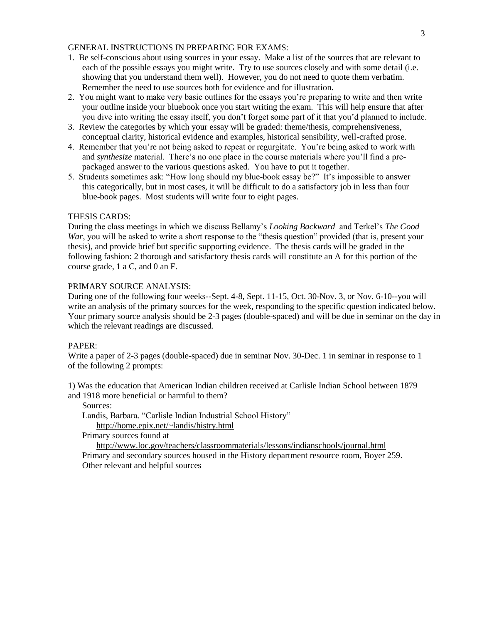#### GENERAL INSTRUCTIONS IN PREPARING FOR EXAMS:

- 1. Be self-conscious about using sources in your essay. Make a list of the sources that are relevant to each of the possible essays you might write. Try to use sources closely and with some detail (i.e. showing that you understand them well). However, you do not need to quote them verbatim. Remember the need to use sources both for evidence and for illustration.
- 2. You might want to make very basic outlines for the essays you're preparing to write and then write your outline inside your bluebook once you start writing the exam. This will help ensure that after you dive into writing the essay itself, you don't forget some part of it that you'd planned to include.
- 3. Review the categories by which your essay will be graded: theme/thesis, comprehensiveness, conceptual clarity, historical evidence and examples, historical sensibility, well-crafted prose.
- 4. Remember that you're not being asked to repeat or regurgitate. You're being asked to work with and *synthesize* material. There's no one place in the course materials where you'll find a prepackaged answer to the various questions asked. You have to put it together.
- 5. Students sometimes ask: "How long should my blue-book essay be?" It's impossible to answer this categorically, but in most cases, it will be difficult to do a satisfactory job in less than four blue-book pages. Most students will write four to eight pages.

#### THESIS CARDS:

During the class meetings in which we discuss Bellamy's *Looking Backward* and Terkel's *The Good War*, you will be asked to write a short response to the "thesis question" provided (that is, present your thesis), and provide brief but specific supporting evidence. The thesis cards will be graded in the following fashion: 2 thorough and satisfactory thesis cards will constitute an A for this portion of the course grade, 1 a C, and 0 an F.

#### PRIMARY SOURCE ANALYSIS:

During one of the following four weeks--Sept. 4-8, Sept. 11-15, Oct. 30-Nov. 3, or Nov. 6-10--you will write an analysis of the primary sources for the week, responding to the specific question indicated below. Your primary source analysis should be 2-3 pages (double-spaced) and will be due in seminar on the day in which the relevant readings are discussed.

#### PAPER:

Write a paper of 2-3 pages (double-spaced) due in seminar Nov. 30-Dec. 1 in seminar in response to 1 of the following 2 prompts:

1) Was the education that American Indian children received at Carlisle Indian School between 1879 and 1918 more beneficial or harmful to them?

Sources:

Landis, Barbara. "Carlisle Indian Industrial School History"

<http://home.epix.net/~landis/histry.html>

Primary sources found at

<http://www.loc.gov/teachers/classroommaterials/lessons/indianschools/journal.html> Primary and secondary sources housed in the History department resource room, Boyer 259. Other relevant and helpful sources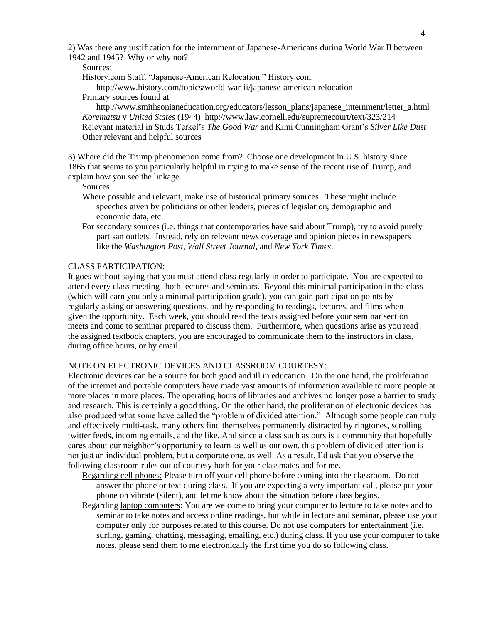2) Was there any justification for the internment of Japanese-Americans during World War II between 1942 and 1945? Why or why not?

#### Sources:

History.com Staff. "Japanese-American Relocation." History.com.

<http://www.history.com/topics/world-war-ii/japanese-american-relocation>

Primary sources found at

[http://www.smithsonianeducation.org/educators/lesson\\_plans/japanese\\_internment/letter\\_a.html](http://www.smithsonianeducation.org/educators/lesson_plans/japanese_internment/letter_a.html) *Korematsu* v *United States* (1944) <http://www.law.cornell.edu/supremecourt/text/323/214> Relevant material in Studs Terkel's *The Good War* and Kimi Cunningham Grant's *Silver Like Dust* Other relevant and helpful sources

3) Where did the Trump phenomenon come from? Choose one development in U.S. history since 1865 that seems to you particularly helpful in trying to make sense of the recent rise of Trump, and explain how you see the linkage.

Sources:

- Where possible and relevant, make use of historical primary sources. These might include speeches given by politicians or other leaders, pieces of legislation, demographic and economic data, etc.
- For secondary sources (i.e. things that contemporaries have said about Trump), try to avoid purely partisan outlets. Instead, rely on relevant news coverage and opinion pieces in newspapers like the *Washington Post*, *Wall Street Journal*, and *New York Times*.

#### CLASS PARTICIPATION:

It goes without saying that you must attend class regularly in order to participate. You are expected to attend every class meeting--both lectures and seminars. Beyond this minimal participation in the class (which will earn you only a minimal participation grade), you can gain participation points by regularly asking or answering questions, and by responding to readings, lectures, and films when given the opportunity. Each week, you should read the texts assigned before your seminar section meets and come to seminar prepared to discuss them. Furthermore, when questions arise as you read the assigned textbook chapters, you are encouraged to communicate them to the instructors in class, during office hours, or by email.

#### NOTE ON ELECTRONIC DEVICES AND CLASSROOM COURTESY:

Electronic devices can be a source for both good and ill in education. On the one hand, the proliferation of the internet and portable computers have made vast amounts of information available to more people at more places in more places. The operating hours of libraries and archives no longer pose a barrier to study and research. This is certainly a good thing. On the other hand, the proliferation of electronic devices has also produced what some have called the "problem of divided attention." Although some people can truly and effectively multi-task, many others find themselves permanently distracted by ringtones, scrolling twitter feeds, incoming emails, and the like. And since a class such as ours is a community that hopefully cares about our neighbor's opportunity to learn as well as our own, this problem of divided attention is not just an individual problem, but a corporate one, as well. As a result, I'd ask that you observe the following classroom rules out of courtesy both for your classmates and for me.

- Regarding cell phones: Please turn off your cell phone before coming into the classroom. Do not answer the phone or text during class. If you are expecting a very important call, please put your phone on vibrate (silent), and let me know about the situation before class begins.
- Regarding laptop computers: You are welcome to bring your computer to lecture to take notes and to seminar to take notes and access online readings, but while in lecture and seminar, please use your computer only for purposes related to this course. Do not use computers for entertainment (i.e. surfing, gaming, chatting, messaging, emailing, etc.) during class. If you use your computer to take notes, please send them to me electronically the first time you do so following class.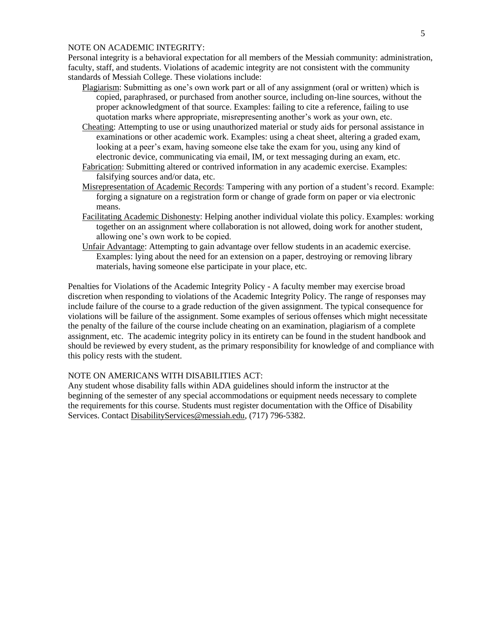#### NOTE ON ACADEMIC INTEGRITY:

Personal integrity is a behavioral expectation for all members of the Messiah community: administration, faculty, staff, and students. Violations of academic integrity are not consistent with the community standards of Messiah College. These violations include:

- Plagiarism: Submitting as one's own work part or all of any assignment (oral or written) which is copied, paraphrased, or purchased from another source, including on-line sources, without the proper acknowledgment of that source. Examples: failing to cite a reference, failing to use quotation marks where appropriate, misrepresenting another's work as your own, etc.
- Cheating: Attempting to use or using unauthorized material or study aids for personal assistance in examinations or other academic work. Examples: using a cheat sheet, altering a graded exam, looking at a peer's exam, having someone else take the exam for you, using any kind of electronic device, communicating via email, IM, or text messaging during an exam, etc.
- Fabrication: Submitting altered or contrived information in any academic exercise. Examples: falsifying sources and/or data, etc.
- Misrepresentation of Academic Records: Tampering with any portion of a student's record. Example: forging a signature on a registration form or change of grade form on paper or via electronic means.
- Facilitating Academic Dishonesty: Helping another individual violate this policy. Examples: working together on an assignment where collaboration is not allowed, doing work for another student, allowing one's own work to be copied.
- Unfair Advantage: Attempting to gain advantage over fellow students in an academic exercise. Examples: lying about the need for an extension on a paper, destroying or removing library materials, having someone else participate in your place, etc.

Penalties for Violations of the Academic Integrity Policy - A faculty member may exercise broad discretion when responding to violations of the Academic Integrity Policy. The range of responses may include failure of the course to a grade reduction of the given assignment. The typical consequence for violations will be failure of the assignment. Some examples of serious offenses which might necessitate the penalty of the failure of the course include cheating on an examination, plagiarism of a complete assignment, etc. The academic integrity policy in its entirety can be found in the student handbook and should be reviewed by every student, as the primary responsibility for knowledge of and compliance with this policy rests with the student.

#### NOTE ON AMERICANS WITH DISABILITIES ACT:

Any student whose disability falls within ADA guidelines should inform the instructor at the beginning of the semester of any special accommodations or equipment needs necessary to complete the requirements for this course. Students must register documentation with the Office of Disability Services. Contact [DisabilityServices@messiah.edu,](mailto:DisabilityServices@messiah.edu) (717) 796-5382.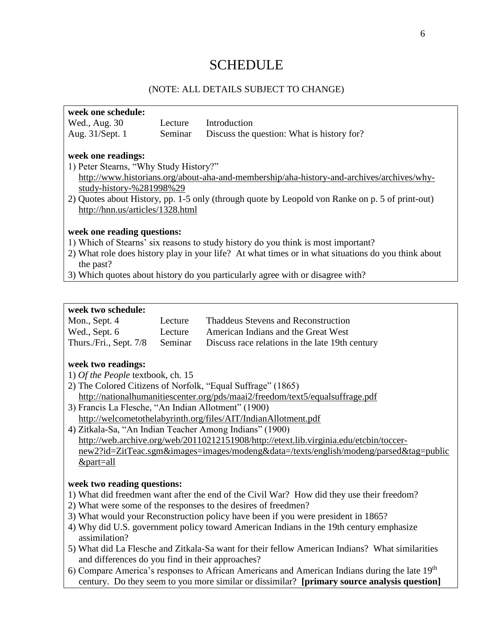# **SCHEDULE**

# (NOTE: ALL DETAILS SUBJECT TO CHANGE)

# **week one schedule:**

Wed., Aug. 30 Lecture Introduction Aug. 31/Sept. 1 Seminar Discuss the question: What is history for?

# **week one readings:**

- 1) Peter Stearns, "Why Study History?" [http://www.historians.org/about-aha-and-membership/aha-history-and-archives/archives/why](http://www.historians.org/about-aha-and-membership/aha-history-and-archives/archives/why-study-history-%281998%29)[study-history-%281998%29](http://www.historians.org/about-aha-and-membership/aha-history-and-archives/archives/why-study-history-%281998%29)
- 2) Quotes about History, pp. 1-5 only (through quote by Leopold von Ranke on p. 5 of print-out) <http://hnn.us/articles/1328.html>

# **week one reading questions:**

- 1) Which of Stearns' six reasons to study history do you think is most important?
- 2) What role does history play in your life? At what times or in what situations do you think about the past?
- 3) Which quotes about history do you particularly agree with or disagree with?

# **week two schedule:**

| Mon., Sept. 4 | Lecture | Thaddeus Stevens and Reconstruction                                            |
|---------------|---------|--------------------------------------------------------------------------------|
| Wed., Sept. 6 | Lecture | American Indians and the Great West                                            |
|               |         | Thurs./Fri., Sept. 7/8 Seminar Discuss race relations in the late 19th century |

# **week two readings:**

- 1) *Of the People* textbook, ch. 15
- 2) The Colored Citizens of Norfolk, "Equal Suffrage" (1865) <http://nationalhumanitiescenter.org/pds/maai2/freedom/text5/equalsuffrage.pdf>
- 3) Francis La Flesche, "An Indian Allotment" (1900) <http://welcometothelabyrinth.org/files/AIT/IndianAllotment.pdf>
- 4) Zitkala-Sa, "An Indian Teacher Among Indians" (1900) [http://web.archive.org/web/20110212151908/http://etext.lib.virginia.edu/etcbin/toccer](http://web.archive.org/web/20110212151908/http:/etext.lib.virginia.edu/etcbin/toccer-new2?id=ZitTeac.sgm&images=images/modeng&data=/texts/english/modeng/parsed&tag=public&part=all)[new2?id=ZitTeac.sgm&images=images/modeng&data=/texts/english/modeng/parsed&tag=public](http://web.archive.org/web/20110212151908/http:/etext.lib.virginia.edu/etcbin/toccer-new2?id=ZitTeac.sgm&images=images/modeng&data=/texts/english/modeng/parsed&tag=public&part=all) [&part=all](http://web.archive.org/web/20110212151908/http:/etext.lib.virginia.edu/etcbin/toccer-new2?id=ZitTeac.sgm&images=images/modeng&data=/texts/english/modeng/parsed&tag=public&part=all)

# **week two reading questions:**

- 1) What did freedmen want after the end of the Civil War? How did they use their freedom?
- 2) What were some of the responses to the desires of freedmen?
- 3) What would your Reconstruction policy have been if you were president in 1865?
- 4) Why did U.S. government policy toward American Indians in the 19th century emphasize assimilation?
- 5) What did La Flesche and Zitkala-Sa want for their fellow American Indians? What similarities and differences do you find in their approaches?
- 6) Compare America's responses to African Americans and American Indians during the late  $19<sup>th</sup>$ century. Do they seem to you more similar or dissimilar? **[primary source analysis question]**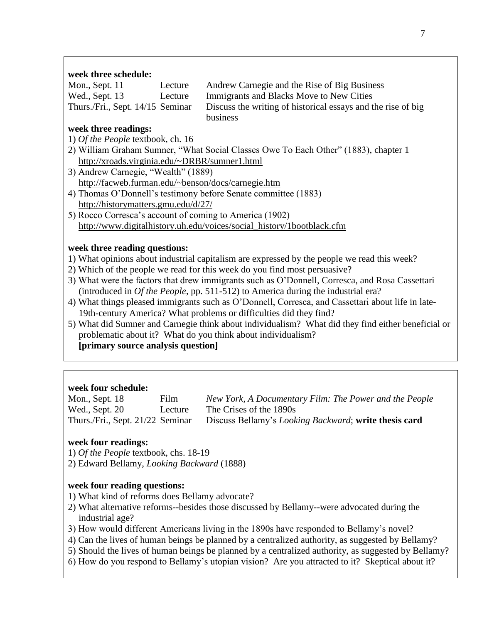#### **week three schedule:**

| Mon., Sept. 11                   | Lecture | Andrew Carnegie and the Rise of Big Business                 |
|----------------------------------|---------|--------------------------------------------------------------|
| Wed., Sept. 13                   | Lecture | Immigrants and Blacks Move to New Cities                     |
| Thurs./Fri., Sept. 14/15 Seminar |         | Discuss the writing of historical essays and the rise of big |
|                                  |         | business                                                     |

#### **week three readings:**

- 1) *Of the People* textbook, ch. 16
- 2) William Graham Sumner, "What Social Classes Owe To Each Other" (1883), chapter 1 <http://xroads.virginia.edu/~DRBR/sumner1.html>
- 3) Andrew Carnegie, "Wealth" (1889) <http://facweb.furman.edu/~benson/docs/carnegie.htm>
- 4) Thomas O'Donnell's testimony before Senate committee (1883) <http://historymatters.gmu.edu/d/27/>
- 5) Rocco Corresca's account of coming to America (1902) [http://www.digitalhistory.uh.edu/voices/social\\_history/1bootblack.cfm](http://www.digitalhistory.uh.edu/voices/social_history/1bootblack.cfm)

#### **week three reading questions:**

- 1) What opinions about industrial capitalism are expressed by the people we read this week?
- 2) Which of the people we read for this week do you find most persuasive?
- 3) What were the factors that drew immigrants such as O'Donnell, Corresca, and Rosa Cassettari (introduced in *Of the People*, pp. 511-512) to America during the industrial era?
- 4) What things pleased immigrants such as O'Donnell, Corresca, and Cassettari about life in late-19th-century America? What problems or difficulties did they find?
- 5) What did Sumner and Carnegie think about individualism? What did they find either beneficial or problematic about it? What do you think about individualism? **[primary source analysis question]**

#### **week four schedule:**

| Mon., Sept. 18                   | Film    | New York, A Documentary Film: The Power and the People |
|----------------------------------|---------|--------------------------------------------------------|
| Wed., Sept. 20                   | Lecture | The Crises of the 1890s                                |
| Thurs./Fri., Sept. 21/22 Seminar |         | Discuss Bellamy's Looking Backward; write thesis card  |

# **week four readings:**

1) *Of the People* textbook, chs. 18-19 2) Edward Bellamy, *Looking Backward* (1888)

#### **week four reading questions:**

- 1) What kind of reforms does Bellamy advocate?
- 2) What alternative reforms--besides those discussed by Bellamy--were advocated during the industrial age?
- 3) How would different Americans living in the 1890s have responded to Bellamy's novel?
- 4) Can the lives of human beings be planned by a centralized authority, as suggested by Bellamy?
- 5) Should the lives of human beings be planned by a centralized authority, as suggested by Bellamy?
- 6) How do you respond to Bellamy's utopian vision? Are you attracted to it? Skeptical about it?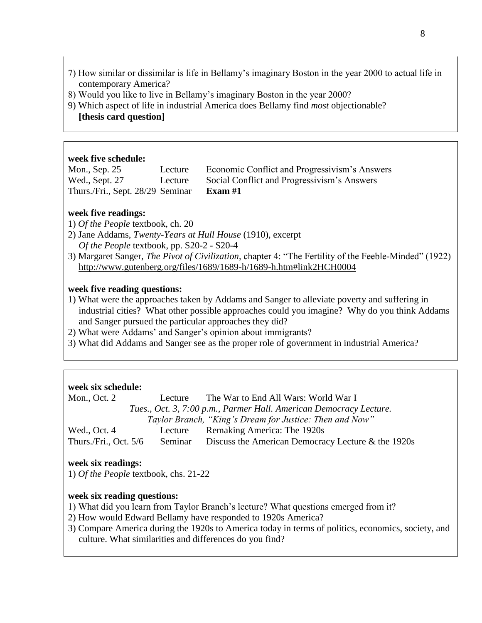- 7) How similar or dissimilar is life in Bellamy's imaginary Boston in the year 2000 to actual life in contemporary America?
- 8) Would you like to live in Bellamy's imaginary Boston in the year 2000?
- 9) Which aspect of life in industrial America does Bellamy find *most* objectionable? **[thesis card question]**

#### **week five schedule:**

| Mon., Sep. 25                    | Lecture | Economic Conflict and Progressivism's Answers |
|----------------------------------|---------|-----------------------------------------------|
| Wed., Sept. 27                   | Lecture | Social Conflict and Progressivism's Answers   |
| Thurs./Fri., Sept. 28/29 Seminar |         | Exam $#1$                                     |

# **week five readings:**

1) *Of the People* textbook, ch. 20

- 2) Jane Addams, *Twenty-Years at Hull House* (1910), excerpt *Of the People* textbook, pp. S20-2 - S20-4
- 3) Margaret Sanger, *The Pivot of Civilization*, chapter 4: "The Fertility of the Feeble-Minded" (1922) <http://www.gutenberg.org/files/1689/1689-h/1689-h.htm#link2HCH0004>

#### **week five reading questions:**

- 1) What were the approaches taken by Addams and Sanger to alleviate poverty and suffering in industrial cities? What other possible approaches could you imagine? Why do you think Addams and Sanger pursued the particular approaches they did?
- 2) What were Addams' and Sanger's opinion about immigrants?
- 3) What did Addams and Sanger see as the proper role of government in industrial America?

# **week six schedule:**

Mon., Oct. 2 Lecture The War to End All Wars: World War I *Tues., Oct. 3, 7:00 p.m., Parmer Hall. American Democracy Lecture. Taylor Branch, "King's Dream for Justice: Then and Now"* Wed., Oct. 4 Lecture Remaking America: The 1920s

Thurs./Fri., Oct. 5/6 Seminar Discuss the American Democracy Lecture & the 1920s

#### **week six readings:**

1) *Of the People* textbook, chs. 21-22

#### **week six reading questions:**

- 1) What did you learn from Taylor Branch's lecture? What questions emerged from it?
- 2) How would Edward Bellamy have responded to 1920s America?
- 3) Compare America during the 1920s to America today in terms of politics, economics, society, and culture. What similarities and differences do you find?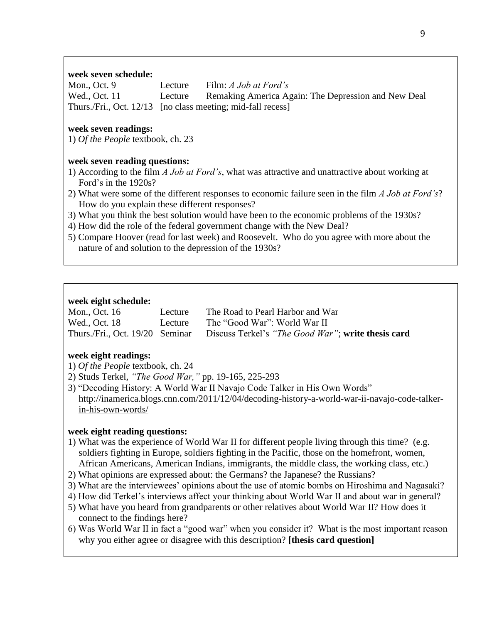# **week seven schedule:**

Mon., Oct. 9 Lecture Film: *A Job at Ford's* Wed., Oct. 11 Lecture Remaking America Again: The Depression and New Deal Thurs./Fri., Oct. 12/13 [no class meeting; mid-fall recess]

# **week seven readings:**

1) *Of the People* textbook, ch. 23

# **week seven reading questions:**

- 1) According to the film *A Job at Ford's*, what was attractive and unattractive about working at Ford's in the 1920s?
- 2) What were some of the different responses to economic failure seen in the film *A Job at Ford's*? How do you explain these different responses?
- 3) What you think the best solution would have been to the economic problems of the 1930s?
- 4) How did the role of the federal government change with the New Deal?
- 5) Compare Hoover (read for last week) and Roosevelt. Who do you agree with more about the nature of and solution to the depression of the 1930s?

# **week eight schedule:**

| Mon., Oct. 16 | Lecture | The Road to Pearl Harbor and War                                                   |
|---------------|---------|------------------------------------------------------------------------------------|
| Wed., Oct. 18 | Lecture | The "Good War": World War II                                                       |
|               |         | Thurs./Fri., Oct. 19/20 Seminar Discuss Terkel's "The Good War"; write thesis card |

# **week eight readings:**

1) *Of the People* textbook, ch. 24

- 2) Studs Terkel, *"The Good War,"* pp. 19-165, 225-293
- 3) "Decoding History: A World War II Navajo Code Talker in His Own Words" [http://inamerica.blogs.cnn.com/2011/12/04/decoding-history-a-world-war-ii-navajo-code-talker](http://inamerica.blogs.cnn.com/2011/12/04/decoding-history-a-world-war-ii-navajo-code-talker-in-his-own-words/)[in-his-own-words/](http://inamerica.blogs.cnn.com/2011/12/04/decoding-history-a-world-war-ii-navajo-code-talker-in-his-own-words/)

# **week eight reading questions:**

- 1) What was the experience of World War II for different people living through this time? (e.g. soldiers fighting in Europe, soldiers fighting in the Pacific, those on the homefront, women, African Americans, American Indians, immigrants, the middle class, the working class, etc.)
- 2) What opinions are expressed about: the Germans? the Japanese? the Russians?
- 3) What are the interviewees' opinions about the use of atomic bombs on Hiroshima and Nagasaki?
- 4) How did Terkel's interviews affect your thinking about World War II and about war in general?
- 5) What have you heard from grandparents or other relatives about World War II? How does it connect to the findings here?
- 6) Was World War II in fact a "good war" when you consider it? What is the most important reason why you either agree or disagree with this description? **[thesis card question]**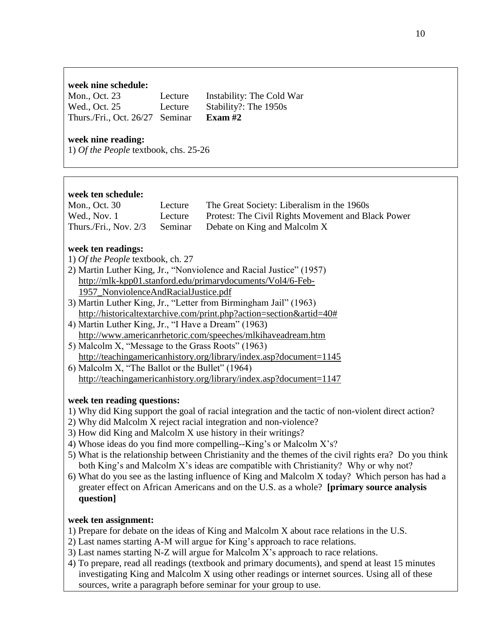# **week nine schedule:**

| Mon., Oct. 23                   | Lecture | Instability: The Cold War |
|---------------------------------|---------|---------------------------|
| Wed., Oct. 25                   | Lecture | Stability?: The 1950s     |
| Thurs./Fri., Oct. 26/27 Seminar |         | Exam #2                   |

# **week nine reading:**

1) *Of the People* textbook, chs. 25-26

# **week ten schedule:**

| Mon., Oct. 30 | Lecture | The Great Society: Liberalism in the 1960s                   |
|---------------|---------|--------------------------------------------------------------|
| Wed., Nov. 1  | Lecture | Protest: The Civil Rights Movement and Black Power           |
|               |         | Thurs./Fri., Nov. $2/3$ Seminar Debate on King and Malcolm X |

# **week ten readings:**

- 1) *Of the People* textbook, ch. 27
- 2) Martin Luther King, Jr., "Nonviolence and Racial Justice" (1957) [http://mlk-kpp01.stanford.edu/primarydocuments/Vol4/6-Feb-](http://mlk-kpp01.stanford.edu/primarydocuments/Vol4/6-Feb-1957_NonviolenceAndRacialJustice.pdf)[1957\\_NonviolenceAndRacialJustice.pdf](http://mlk-kpp01.stanford.edu/primarydocuments/Vol4/6-Feb-1957_NonviolenceAndRacialJustice.pdf)
- 3) Martin Luther King, Jr., "Letter from Birmingham Jail" (1963) [http://historicaltextarchive.com/print.php?action=section&artid=40#](http://historicaltextarchive.com/print.php?action=section&artid=40)
- 4) Martin Luther King, Jr., "I Have a Dream" (1963) <http://www.americanrhetoric.com/speeches/mlkihaveadream.htm>
- 5) Malcolm X, "Message to the Grass Roots" (1963) <http://teachingamericanhistory.org/library/index.asp?document=1145>
- 6) Malcolm X, "The Ballot or the Bullet" (1964) <http://teachingamericanhistory.org/library/index.asp?document=1147>

# **week ten reading questions:**

- 1) Why did King support the goal of racial integration and the tactic of non-violent direct action?
- 2) Why did Malcolm X reject racial integration and non-violence?
- 3) How did King and Malcolm X use history in their writings?
- 4) Whose ideas do you find more compelling--King's or Malcolm X's?
- 5) What is the relationship between Christianity and the themes of the civil rights era? Do you think both King's and Malcolm X's ideas are compatible with Christianity? Why or why not?
- 6) What do you see as the lasting influence of King and Malcolm X today? Which person has had a greater effect on African Americans and on the U.S. as a whole? **[primary source analysis question]**

# **week ten assignment:**

- 1) Prepare for debate on the ideas of King and Malcolm X about race relations in the U.S.
- 2) Last names starting A-M will argue for King's approach to race relations.
- 3) Last names starting N-Z will argue for Malcolm X's approach to race relations.
- 4) To prepare, read all readings (textbook and primary documents), and spend at least 15 minutes investigating King and Malcolm X using other readings or internet sources. Using all of these sources, write a paragraph before seminar for your group to use.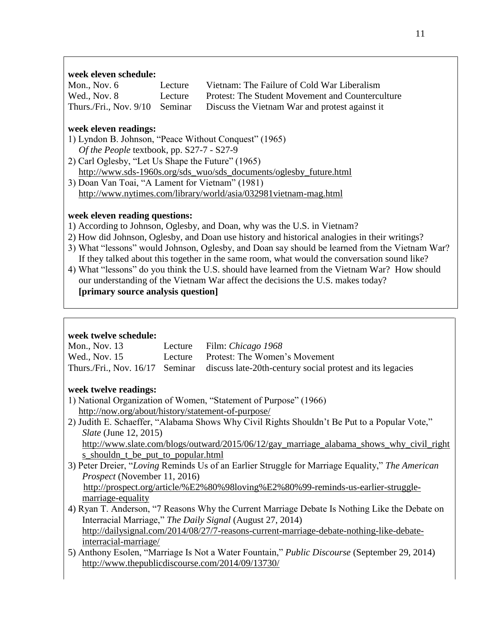# **week eleven schedule:**

| Mon., Nov. $6$ | Lecture | Vietnam: The Failure of Cold War Liberalism                                   |
|----------------|---------|-------------------------------------------------------------------------------|
| Wed., Nov. 8   | Lecture | Protest: The Student Movement and Counterculture                              |
|                |         | Thurs./Fri., Nov. 9/10 Seminar Discuss the Vietnam War and protest against it |

# **week eleven readings:**

- 1) Lyndon B. Johnson, "Peace Without Conquest" (1965)
- *Of the People* textbook, pp. S27-7 S27-9 2) Carl Oglesby, "Let Us Shape the Future" (1965)
- [http://www.sds-1960s.org/sds\\_wuo/sds\\_documents/oglesby\\_future.html](http://www.sds-1960s.org/sds_wuo/sds_documents/oglesby_future.html)
- 3) Doan Van Toai, "A Lament for Vietnam" (1981) <http://www.nytimes.com/library/world/asia/032981vietnam-mag.html>

# **week eleven reading questions:**

- 1) According to Johnson, Oglesby, and Doan, why was the U.S. in Vietnam?
- 2) How did Johnson, Oglesby, and Doan use history and historical analogies in their writings?
- 3) What "lessons" would Johnson, Oglesby, and Doan say should be learned from the Vietnam War? If they talked about this together in the same room, what would the conversation sound like?
- 4) What "lessons" do you think the U.S. should have learned from the Vietnam War? How should our understanding of the Vietnam War affect the decisions the U.S. makes today? **[primary source analysis question]**

# **week twelve schedule:**

| Mon., Nov. 13 | Lecture Film: Chicago 1968                                                                |
|---------------|-------------------------------------------------------------------------------------------|
| Wed., Nov. 15 | Lecture Protest: The Women's Movement                                                     |
|               | Thurs./Fri., Nov. 16/17 Seminar discuss late-20th-century social protest and its legacies |

# **week twelve readings:**

- 1) National Organization of Women, "Statement of Purpose" (1966) <http://now.org/about/history/statement-of-purpose/>
- 2) Judith E. Schaeffer, "Alabama Shows Why Civil Rights Shouldn't Be Put to a Popular Vote," *Slate* (June 12, 2015) [http://www.slate.com/blogs/outward/2015/06/12/gay\\_marriage\\_alabama\\_shows\\_why\\_civil\\_right](http://www.slate.com/blogs/outward/2015/06/12/gay_marriage_alabama_shows_why_civil_rights_shouldn_t_be_put_to_popular.html) s shouldn t be put to popular.html
- 3) Peter Dreier, "*Loving* Reminds Us of an Earlier Struggle for Marriage Equality," *The American Prospect* (November 11, 2016) [http://prospect.org/article/%E2%80%98loving%E2%80%99-reminds-us-earlier-struggle](http://prospect.org/article/%E2%80%98loving%E2%80%99-reminds-us-earlier-struggle-marriage-equality)[marriage-equality](http://prospect.org/article/%E2%80%98loving%E2%80%99-reminds-us-earlier-struggle-marriage-equality)
- 4) Ryan T. Anderson, "7 Reasons Why the Current Marriage Debate Is Nothing Like the Debate on Interracial Marriage," *The Daily Signal* (August 27, 2014) [http://dailysignal.com/2014/08/27/7-reasons-current-marriage-debate-nothing-like-debate](http://dailysignal.com/2014/08/27/7-reasons-current-marriage-debate-nothing-like-debate-interracial-marriage/)[interracial-marriage/](http://dailysignal.com/2014/08/27/7-reasons-current-marriage-debate-nothing-like-debate-interracial-marriage/)
- 5) Anthony Esolen, "Marriage Is Not a Water Fountain," *Public Discourse* (September 29, 2014) <http://www.thepublicdiscourse.com/2014/09/13730/>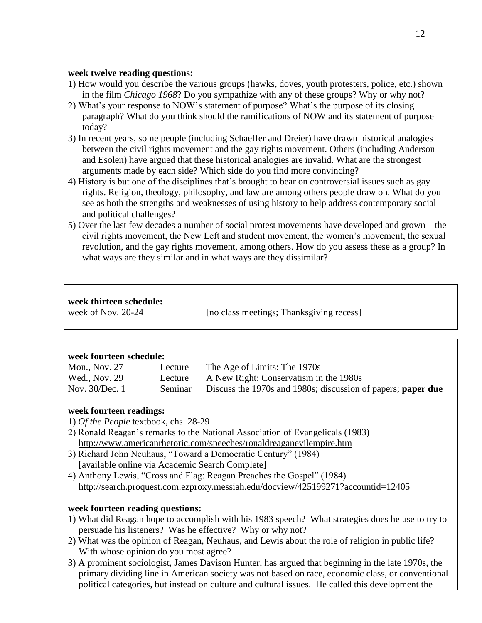# **week twelve reading questions:**

- 1) How would you describe the various groups (hawks, doves, youth protesters, police, etc.) shown in the film *Chicago 1968*? Do you sympathize with any of these groups? Why or why not?
- 2) What's your response to NOW's statement of purpose? What's the purpose of its closing paragraph? What do you think should the ramifications of NOW and its statement of purpose today?
- 3) In recent years, some people (including Schaeffer and Dreier) have drawn historical analogies between the civil rights movement and the gay rights movement. Others (including Anderson and Esolen) have argued that these historical analogies are invalid. What are the strongest arguments made by each side? Which side do you find more convincing?
- 4) History is but one of the disciplines that's brought to bear on controversial issues such as gay rights. Religion, theology, philosophy, and law are among others people draw on. What do you see as both the strengths and weaknesses of using history to help address contemporary social and political challenges?
- 5) Over the last few decades a number of social protest movements have developed and grown the civil rights movement, the New Left and student movement, the women's movement, the sexual revolution, and the gay rights movement, among others. How do you assess these as a group? In what ways are they similar and in what ways are they dissimilar?

# **week thirteen schedule:**

# **week fourteen schedule:**

| Mon., Nov. 27  | Lecture | The Age of Limits: The 1970s                                 |
|----------------|---------|--------------------------------------------------------------|
| Wed., Nov. 29  | Lecture | A New Right: Conservatism in the 1980s                       |
| Nov. 30/Dec. 1 | Seminar | Discuss the 1970s and 1980s; discussion of papers; paper due |

# **week fourteen readings:**

- 1) *Of the People* textbook, chs. 28-29
- 2) Ronald Reagan's remarks to the National Association of Evangelicals (1983) <http://www.americanrhetoric.com/speeches/ronaldreaganevilempire.htm>
- 3) Richard John Neuhaus, "Toward a Democratic Century" (1984) [available online via Academic Search Complete]
- 4) Anthony Lewis, "Cross and Flag: Reagan Preaches the Gospel" (1984) <http://search.proquest.com.ezproxy.messiah.edu/docview/425199271?accountid=12405>

# **week fourteen reading questions:**

- 1) What did Reagan hope to accomplish with his 1983 speech? What strategies does he use to try to persuade his listeners? Was he effective? Why or why not?
- 2) What was the opinion of Reagan, Neuhaus, and Lewis about the role of religion in public life? With whose opinion do you most agree?
- 3) A prominent sociologist, James Davison Hunter, has argued that beginning in the late 1970s, the primary dividing line in American society was not based on race, economic class, or conventional political categories, but instead on culture and cultural issues. He called this development the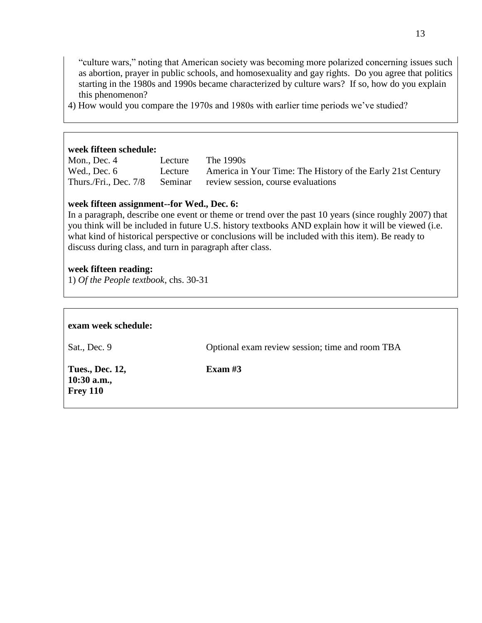"culture wars," noting that American society was becoming more polarized concerning issues such as abortion, prayer in public schools, and homosexuality and gay rights. Do you agree that politics starting in the 1980s and 1990s became characterized by culture wars? If so, how do you explain this phenomenon?

4) How would you compare the 1970s and 1980s with earlier time periods we've studied?

#### **week fifteen schedule:**

Mon., Dec. 4 Lecture The 1990s Wed., Dec. 6 Lecture America in Your Time: The History of the Early 21st Century Thurs./Fri., Dec. 7/8 Seminar review session, course evaluations

# **week fifteen assignment--for Wed., Dec. 6:**

In a paragraph, describe one event or theme or trend over the past 10 years (since roughly 2007) that you think will be included in future U.S. history textbooks AND explain how it will be viewed (i.e. what kind of historical perspective or conclusions will be included with this item). Be ready to discuss during class, and turn in paragraph after class.

# **week fifteen reading:**

1) *Of the People textbook*, chs. 30-31

# **exam week schedule:**

Sat., Dec. 9 Optional exam review session; time and room TBA

**Tues., Dec. 12, Exam #3 10:30 a.m., Frey 110**